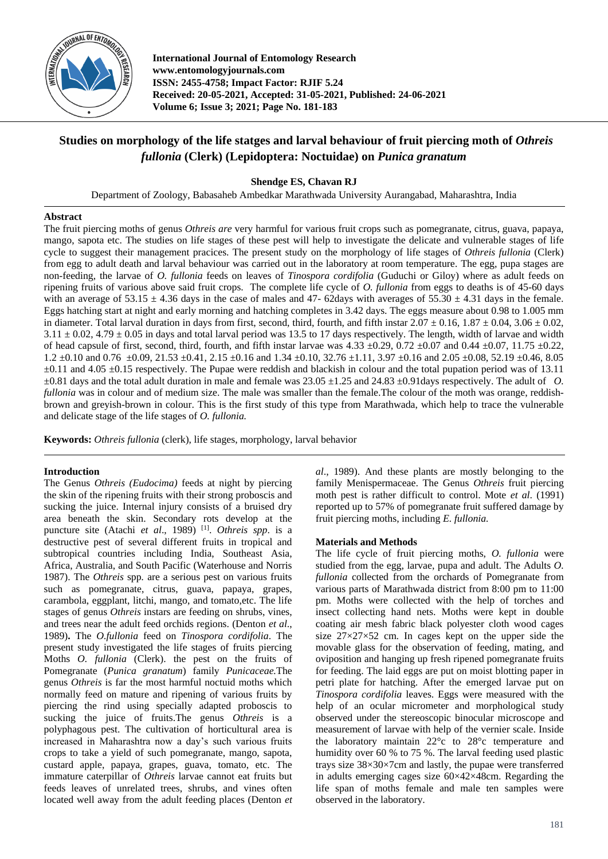

**International Journal of Entomology Research www.entomologyjournals.com ISSN: 2455-4758; Impact Factor: RJIF 5.24 Received: 20-05-2021, Accepted: 31-05-2021, Published: 24-06-2021 Volume 6; Issue 3; 2021; Page No. 181-183**

# **Studies on morphology of the life statges and larval behaviour of fruit piercing moth of** *Othreis fullonia* **(Clerk) (Lepidoptera: Noctuidae) on** *Punica granatum*

# **Shendge ES, Chavan RJ**

Department of Zoology, Babasaheb Ambedkar Marathwada University Aurangabad, Maharashtra, India

# **Abstract**

The fruit piercing moths of genus *Othreis are* very harmful for various fruit crops such as pomegranate, citrus, guava, papaya, mango, sapota etc. The studies on life stages of these pest will help to investigate the delicate and vulnerable stages of life cycle to suggest their management pracices. The present study on the morphology of life stages of *Othreis fullonia* (Clerk) from egg to adult death and larval behaviour was carried out in the laboratory at room temperature*.* The egg, pupa stages are non-feeding, the larvae of *O. fullonia* feeds on leaves of *Tinospora cordifolia* (Guduchi or Giloy) where as adult feeds on ripening fruits of various above said fruit crops. The complete life cycle of *O. fullonia* from eggs to deaths is of 45-60 days with an average of  $53.15 \pm 4.36$  days in the case of males and 47-62days with averages of  $55.30 \pm 4.31$  days in the female. Eggs hatching start at night and early morning and hatching completes in 3.42 days. The eggs measure about 0.98 to 1.005 mm in diameter. Total larval duration in days from first, second, third, fourth, and fifth instar  $2.07 \pm 0.16$ ,  $1.87 \pm 0.04$ ,  $3.06 \pm 0.02$ ,  $3.11 \pm 0.02$ ,  $4.79 \pm 0.05$  in days and total larval period was 13.5 to 17 days respectively. The length, width of larvae and width of head capsule of first, second, third, fourth, and fifth instar larvae was  $4.33 \pm 0.29$ ,  $0.72 \pm 0.07$  and  $0.44 \pm 0.07$ ,  $11.75 \pm 0.22$ ,  $1.2 \pm 0.10$  and  $0.76 \pm 0.09$ ,  $21.53 \pm 0.41$ ,  $2.15 \pm 0.16$  and  $1.34 \pm 0.10$ ,  $32.76 \pm 1.11$ ,  $3.97 \pm 0.16$  and  $2.05 \pm 0.08$ ,  $52.19 \pm 0.46$ ,  $8.05$  $\pm 0.11$  and 4.05  $\pm 0.15$  respectively. The Pupae were reddish and blackish in colour and the total pupation period was of 13.11  $\pm 0.81$  days and the total adult duration in male and female was 23.05  $\pm 1.25$  and 24.83  $\pm 0.91$ days respectively. The adult of *O*. *fullonia* was in colour and of medium size. The male was smaller than the female.The colour of the moth was orange, reddishbrown and greyish-brown in colour. This is the first study of this type from Marathwada, which help to trace the vulnerable and delicate stage of the life stages of *O. fullonia.*

**Keywords:** *Othreis fullonia* (clerk), life stages, morphology, larval behavior

# **Introduction**

The Genus *Othreis (Eudocima)* feeds at night by piercing the skin of the ripening fruits with their strong proboscis and sucking the juice. Internal injury consists of a bruised dry area beneath the skin. Secondary rots develop at the puncture site (Atachi *et al*., 1989) [1] . *Othreis spp*. is a destructive pest of several different fruits in tropical and subtropical countries including India, Southeast Asia, Africa, Australia, and South Pacific (Waterhouse and Norris 1987). The *Othreis* spp*.* are a serious pest on various fruits such as pomegranate, citrus, guava, papaya, grapes, carambola, eggplant, litchi, mango, and tomato,etc. The life stages of genus *Othreis* instars are feeding on shrubs, vines, and trees near the adult feed orchids regions. (Denton *et al*., 1989)**.** The *O.fullonia* feed on *Tinospora cordifolia*. The present study investigated the life stages of fruits piercing Moths *O. fullonia* (Clerk). the pest on the fruits of Pomegranate (*Punica granatum*) family *Punicaceae.*The genus *Othreis* is far the most harmful noctuid moths which normally feed on mature and ripening of various fruits by piercing the rind using specially adapted proboscis to sucking the juice of fruits.The genus *Othreis* is a polyphagous pest. The cultivation of horticultural area is increased in Maharashtra now a day's such various fruits crops to take a yield of such pomegranate, mango, sapota, custard apple, papaya, grapes, guava, tomato, etc. The immature caterpillar of *Othreis* larvae cannot eat fruits but feeds leaves of unrelated trees, shrubs, and vines often located well away from the adult feeding places (Denton *et*  *al*., 1989). And these plants are mostly belonging to the family Menispermaceae. The Genus *Othreis* fruit piercing moth pest is rather difficult to control. Mote *et al*. (1991) reported up to 57% of pomegranate fruit suffered damage by fruit piercing moths, including *E. fullonia.*

# **Materials and Methods**

The life cycle of fruit piercing moths, *O. fullonia* were studied from the egg, larvae, pupa and adult. The Adults *O. fullonia* collected from the orchards of Pomegranate from various parts of Marathwada district from 8:00 pm to 11:00 pm. Moths were collected with the help of torches and insect collecting hand nets. Moths were kept in double coating air mesh fabric black polyester cloth wood cages size  $27 \times 27 \times 52$  cm. In cages kept on the upper side the movable glass for the observation of feeding, mating, and oviposition and hanging up fresh ripened pomegranate fruits for feeding. The laid eggs are put on moist blotting paper in petri plate for hatching. After the emerged larvae put on *Tinospora cordifolia* leaves. Eggs were measured with the help of an ocular micrometer and morphological study observed under the stereoscopic binocular microscope and measurement of larvae with help of the vernier scale. Inside the laboratory maintain  $22^{\circ}$  to  $28^{\circ}$  temperature and humidity over 60 % to 75 %. The larval feeding used plastic trays size 38×30×7cm and lastly, the pupae were transferred in adults emerging cages size  $60\times42\times48$ cm. Regarding the life span of moths female and male ten samples were observed in the laboratory.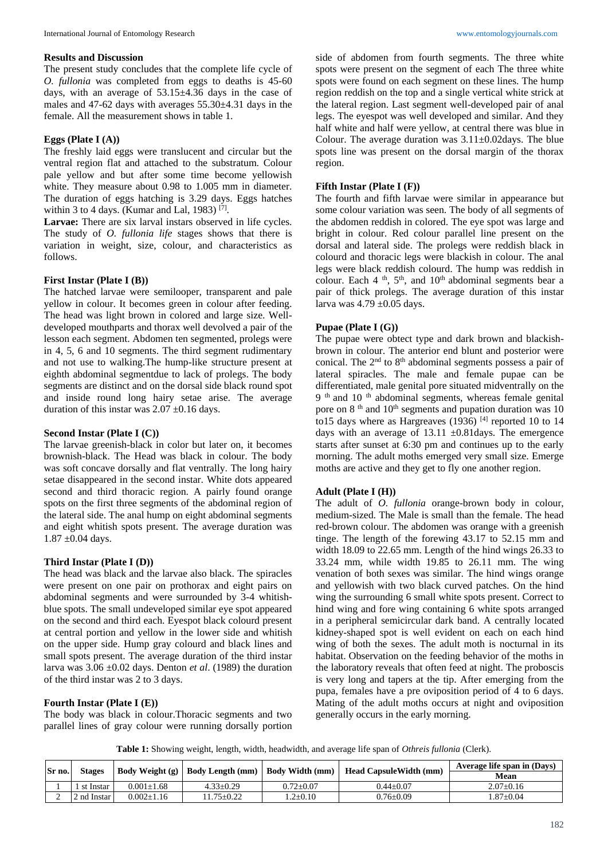#### **Results and Discussion**

The present study concludes that the complete life cycle of *O. fullonia* was completed from eggs to deaths is 45-60 days, with an average of  $53.15 \pm 4.36$  days in the case of males and 47-62 days with averages 55.30±4.31 days in the female. All the measurement shows in table 1.

### **Eggs (Plate I (A))**

The freshly laid eggs were translucent and circular but the ventral region flat and attached to the substratum. Colour pale yellow and but after some time become yellowish white. They measure about 0.98 to 1.005 mm in diameter. The duration of eggs hatching is 3.29 days. Eggs hatches within 3 to 4 days. (Kumar and Lal, 1983)  $[7]$ .

Larvae: There are six larval instars observed in life cycles. The study of *O. fullonia life* stages shows that there is variation in weight, size, colour, and characteristics as follows.

## **First Instar (Plate I (B))**

The hatched larvae were semilooper, transparent and pale yellow in colour. It becomes green in colour after feeding. The head was light brown in colored and large size. Welldeveloped mouthparts and thorax well devolved a pair of the lesson each segment. Abdomen ten segmented, prolegs were in 4, 5, 6 and 10 segments. The third segment rudimentary and not use to walking.The hump-like structure present at eighth abdominal segmentdue to lack of prolegs. The body segments are distinct and on the dorsal side black round spot and inside round long hairy setae arise. The average duration of this instar was  $2.07 \pm 0.16$  days.

#### **Second Instar (Plate I (C))**

The larvae greenish-black in color but later on, it becomes brownish-black. The Head was black in colour. The body was soft concave dorsally and flat ventrally. The long hairy setae disappeared in the second instar. White dots appeared second and third thoracic region. A pairly found orange spots on the first three segments of the abdominal region of the lateral side. The anal hump on eight abdominal segments and eight whitish spots present. The average duration was 1.87 ±0.04 days.

#### **Third Instar (Plate I (D))**

The head was black and the larvae also black. The spiracles were present on one pair on prothorax and eight pairs on abdominal segments and were surrounded by 3-4 whitishblue spots. The small undeveloped similar eye spot appeared on the second and third each. Eyespot black colourd present at central portion and yellow in the lower side and whitish on the upper side. Hump gray colourd and black lines and small spots present. The average duration of the third instar larva was 3.06 ±0.02 days. Denton *et al*. (1989) the duration of the third instar was 2 to 3 days.

# **Fourth Instar (Plate I (E))**

The body was black in colour.Thoracic segments and two parallel lines of gray colour were running dorsally portion

side of abdomen from fourth segments. The three white spots were present on the segment of each The three white spots were found on each segment on these lines. The hump region reddish on the top and a single vertical white strick at the lateral region. Last segment well-developed pair of anal legs. The eyespot was well developed and similar. And they half white and half were yellow, at central there was blue in Colour. The average duration was  $3.11\pm0.02$  days. The blue spots line was present on the dorsal margin of the thorax region.

# **Fifth Instar (Plate I (F))**

The fourth and fifth larvae were similar in appearance but some colour variation was seen. The body of all segments of the abdomen reddish in colored. The eye spot was large and bright in colour. Red colour parallel line present on the dorsal and lateral side. The prolegs were reddish black in colourd and thoracic legs were blackish in colour. The anal legs were black reddish colourd. The hump was reddish in colour. Each 4<sup>th</sup>, 5<sup>th</sup>, and 10<sup>th</sup> abdominal segments bear a pair of thick prolegs. The average duration of this instar larva was  $4.79 \pm 0.05$  days.

## **Pupae (Plate I (G))**

The pupae were obtect type and dark brown and blackishbrown in colour. The anterior end blunt and posterior were conical. The 2<sup>nd</sup> to 8<sup>th</sup> abdominal segments possess a pair of lateral spiracles. The male and female pupae can be differentiated, male genital pore situated midventrally on the  $9<sup>th</sup>$  and 10<sup>th</sup> abdominal segments, whereas female genital pore on 8<sup>th</sup> and 10<sup>th</sup> segments and pupation duration was 10 to15 days where as Hargreaves  $(1936)$  [4] reported 10 to 14 days with an average of  $13.11 \pm 0.81$  days. The emergence starts after sunset at 6:30 pm and continues up to the early morning. The adult moths emerged very small size. Emerge moths are active and they get to fly one another region.

#### **Adult (Plate I (H))**

The adult of *O. fullonia* orange-brown body in colour, medium-sized. The Male is small than the female. The head red-brown colour. The abdomen was orange with a greenish tinge. The length of the forewing 43.17 to 52.15 mm and width 18.09 to 22.65 mm. Length of the hind wings 26.33 to 33.24 mm, while width 19.85 to 26.11 mm. The wing venation of both sexes was similar. The hind wings orange and yellowish with two black curved patches. On the hind wing the surrounding 6 small white spots present. Correct to hind wing and fore wing containing 6 white spots arranged in a peripheral semicircular dark band. A centrally located kidney-shaped spot is well evident on each on each hind wing of both the sexes. The adult moth is nocturnal in its habitat. Observation on the feeding behavior of the moths in the laboratory reveals that often feed at night. The proboscis is very long and tapers at the tip. After emerging from the pupa, females have a pre oviposition period of 4 to 6 days. Mating of the adult moths occurs at night and oviposition generally occurs in the early morning.

**Table 1:** Showing weight, length, width, headwidth, and average life span of *Othreis fullonia* (Clerk).

| Sr no. | Stages      |                  | $\mid$ Body Weight (g) $\mid$ Body Length (mm) $\mid$ Body Width (mm) |                 | <b>Head CapsuleWidth (mm)</b> | Average life span in (Days) |
|--------|-------------|------------------|-----------------------------------------------------------------------|-----------------|-------------------------------|-----------------------------|
|        |             |                  |                                                                       |                 |                               | Mean                        |
|        | st Instar   | $0.001 + 1.68$   | $4.33 \pm 0.29$                                                       | $0.72 \pm 0.07$ | $0.44 + 0.07$                 | $2.07 \pm 0.16$             |
|        | 2 nd Instar | $0.002 \pm 1.16$ | $1.75 \pm 0.22$                                                       | $1.2 \pm 0.10$  | $0.76 \pm 0.09$               | $.87 \pm 0.04$              |